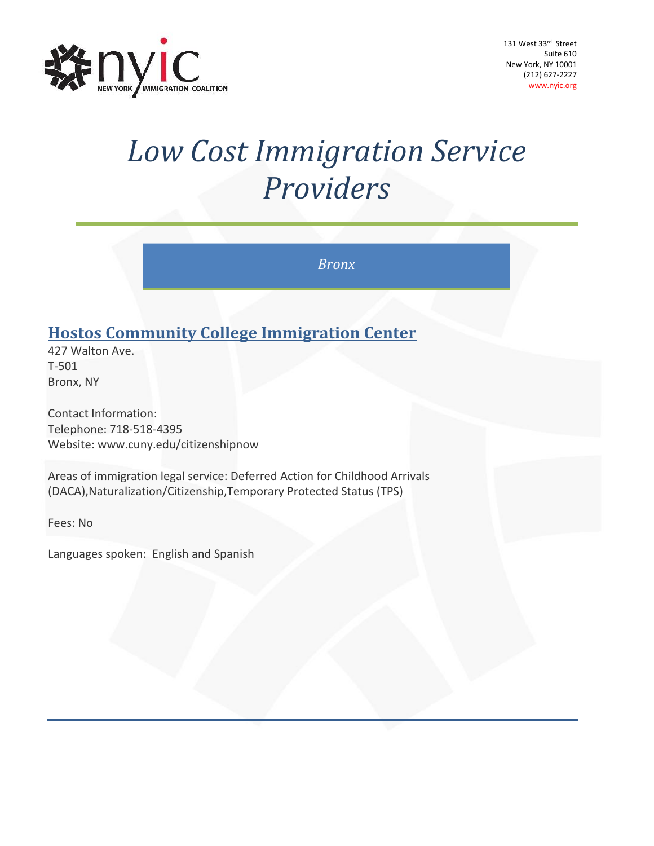

# *Low Cost Immigration Service Providers*

*Bronx*

## **Hostos Community College Immigration Center**

427 Walton Ave. T-501 Bronx, NY

Contact Information: Telephone: 718-518-4395 Website: www.cuny.edu/citizenshipnow

Areas of immigration legal service: Deferred Action for Childhood Arrivals (DACA),Naturalization/Citizenship,Temporary Protected Status (TPS)

Fees: No

Languages spoken: English and Spanish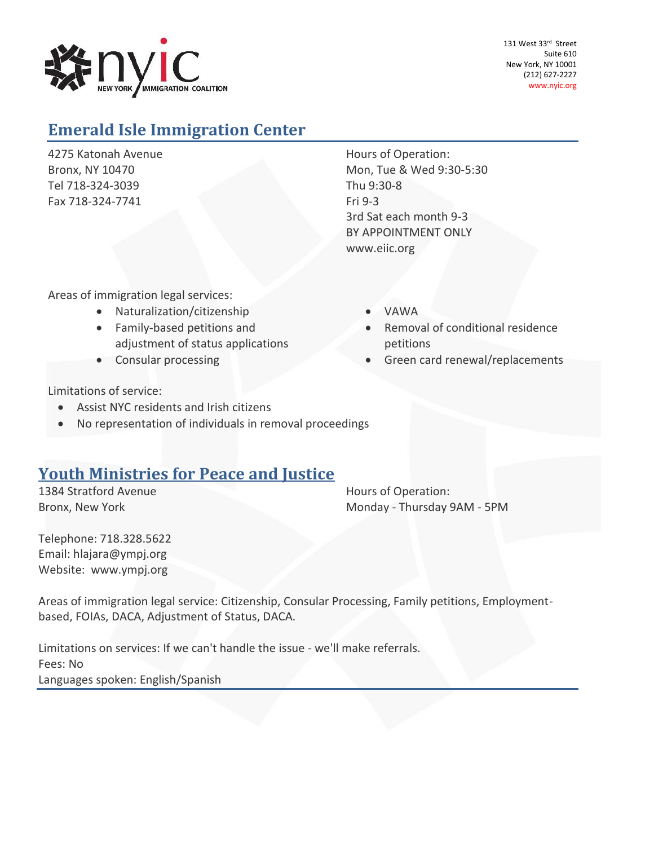

# **Emerald Isle Immigration Center**

4275 Katonah Avenue Bronx, NY 10470 Tel 718-324-3039 Fax 718-324-7741

Hours of Operation: Mon, Tue & Wed 9:30-5:30 Thu 9:30-8 Fri 9-3 3rd Sat each month 9-3 BY APPOINTMENT ONLY [www.eiic.org](http://www.eiic.org/)

Areas of immigration legal services:

- Naturalization/citizenship
- Family-based petitions and adjustment of status applications
- Consular processing

VAWA

- Removal of conditional residence petitions
- Green card renewal/replacements

Limitations of service:

- Assist NYC residents and Irish citizens
- No representation of individuals in removal proceedings

#### **Youth Ministries for Peace and Justice**

1384 Stratford Avenue **Hours** Hours of Operation:

Bronx, New York Monday - Thursday 9AM - 5PM

Telephone: 718.328.5622 Email: hlajara@ympj.org Website: www.ympj.org

Areas of immigration legal service: Citizenship, Consular Processing, Family petitions, Employmentbased, FOIAs, DACA, Adjustment of Status, DACA.

Limitations on services: If we can't handle the issue - we'll make referrals. Fees: No Languages spoken: English/Spanish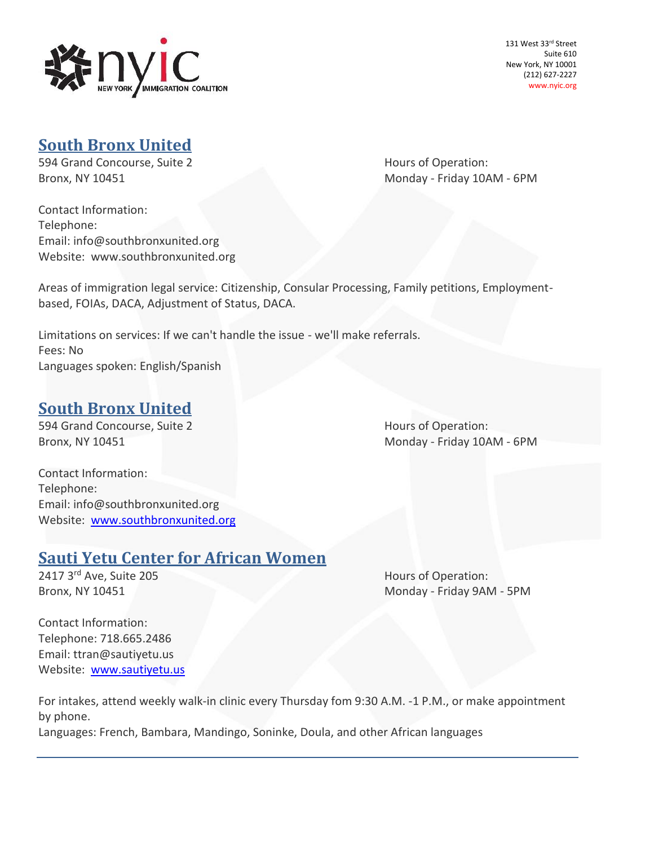

#### **South Bronx United**

594 Grand Concourse, Suite 2 and Suite 3 and Suite 3 and Suite 3 and Suite 3 and Hours of Operation: Bronx, NY 10451 Monday - Friday 10AM - 6PM

Contact Information: Telephone: Email: info@southbronxunited.org Website: www.southbronxunited.org

Areas of immigration legal service: Citizenship, Consular Processing, Family petitions, Employmentbased, FOIAs, DACA, Adjustment of Status, DACA.

Limitations on services: If we can't handle the issue - we'll make referrals. Fees: No Languages spoken: English/Spanish

## **South Bronx United**

594 Grand Concourse, Suite 2 **Hours of Operation:** Bronx, NY 10451 Monday - Friday 10AM - 6PM

Contact Information: Telephone: Email: info@southbronxunited.org Website: [www.southbronxunited.org](http://www.southbronxunited.org/)

## **Sauti Yetu Center for African Women**

2417 3<sup>rd</sup> Ave, Suite 205 **Hours of Operation:** 

Bronx, NY 10451 Monday - Friday 9AM - 5PM

Contact Information: Telephone: 718.665.2486 Email: ttran@sautiyetu.us Website: [www.sautiyetu.us](http://www.sautiyetu.us/)

For intakes, attend weekly walk-in clinic every Thursday fom 9:30 A.M. -1 P.M., or make appointment by phone.

Languages: French, Bambara, Mandingo, Soninke, Doula, and other African languages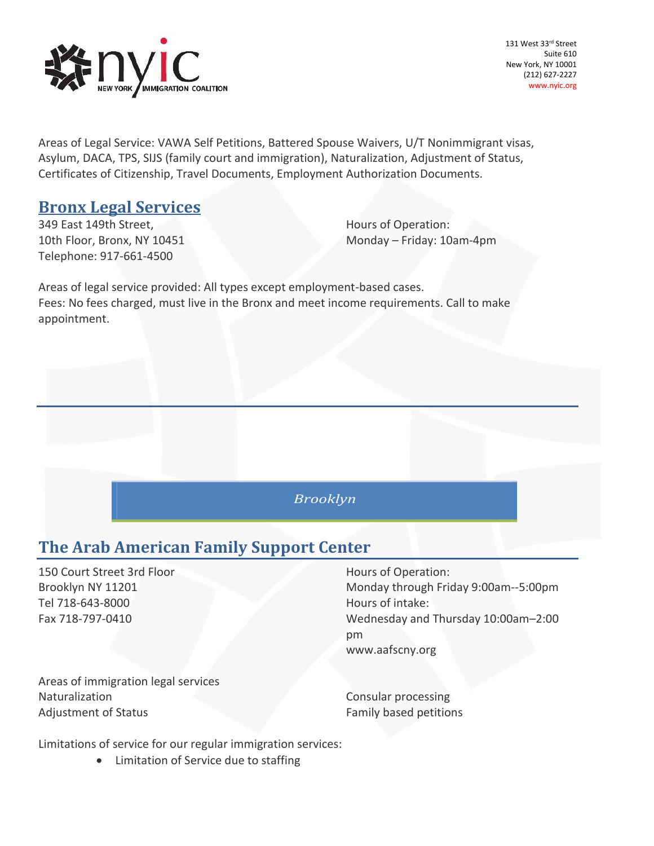

Areas of Legal Service: VAWA Self Petitions, Battered Spouse Waivers, U/T Nonimmigrant visas, Asylum, DACA, TPS, SIJS (family court and immigration), Naturalization, Adjustment of Status, Certificates of Citizenship, Travel Documents, Employment Authorization Documents.

#### **Bronx Legal Services**

349 East 149th Street, Hours of Operation: Telephone: 917-661-4500

10th Floor, Bronx, NY 10451 Monday – Friday: 10am-4pm

Areas of legal service provided: All types except employment-based cases. Fees: No fees charged, must live in the Bronx and meet income requirements. Call to make appointment.

*Brooklyn*

## **The Arab American Family Support Center**

150 Court Street 3rd Floor Brooklyn NY 11201 Tel 718-643-8000 Fax 718-797-0410

Hours of Operation: Monday through Friday 9:00am--5:00pm Hours of intake: Wednesday and Thursday 10:00am–2:00 pm www.aafscny.org

Areas of immigration legal services Naturalization Adjustment of Status

Consular processing Family based petitions

Limitations of service for our regular immigration services:

• Limitation of Service due to staffing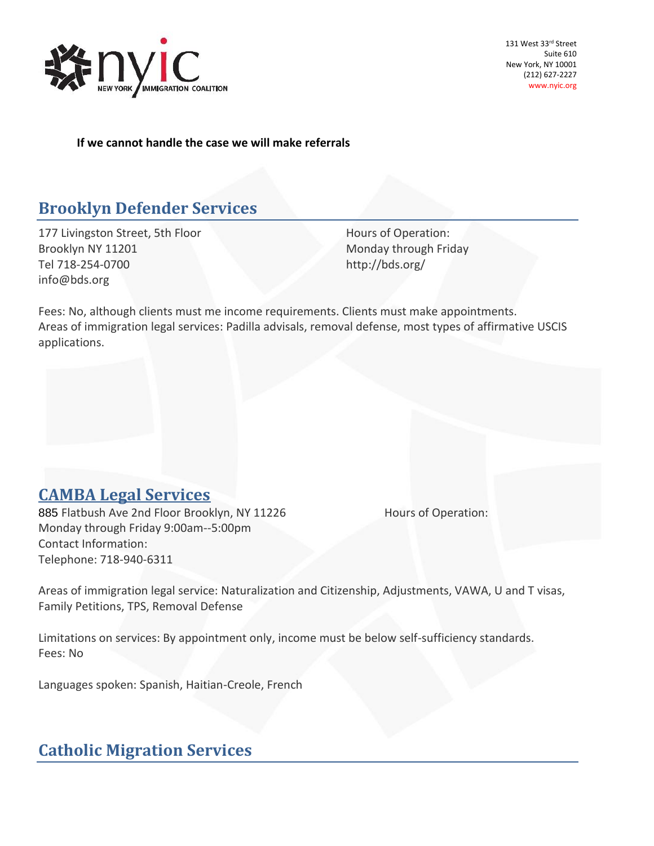

**If we cannot handle the case we will make referrals**

## **Brooklyn Defender Services**

177 Livingston Street, 5th Floor Brooklyn NY 11201 Tel 718-254-0700 info@bds.org

Hours of Operation: Monday through Friday http://bds.org/

Fees: No, although clients must me income requirements. Clients must make appointments. Areas of immigration legal services: Padilla advisals, removal defense, most types of affirmative USCIS applications.

#### **CAMBA Legal Services**

885 Flatbush Ave 2nd Floor Brooklyn, NY 11226 Hours of Operation: Monday through Friday 9:00am--5:00pm Contact Information: Telephone: 718-940-6311

Areas of immigration legal service: Naturalization and Citizenship, Adjustments, VAWA, U and T visas, Family Petitions, TPS, Removal Defense

Limitations on services: By appointment only, income must be below self-sufficiency standards. Fees: No

Languages spoken: Spanish, Haitian-Creole, French

## **Catholic Migration Services**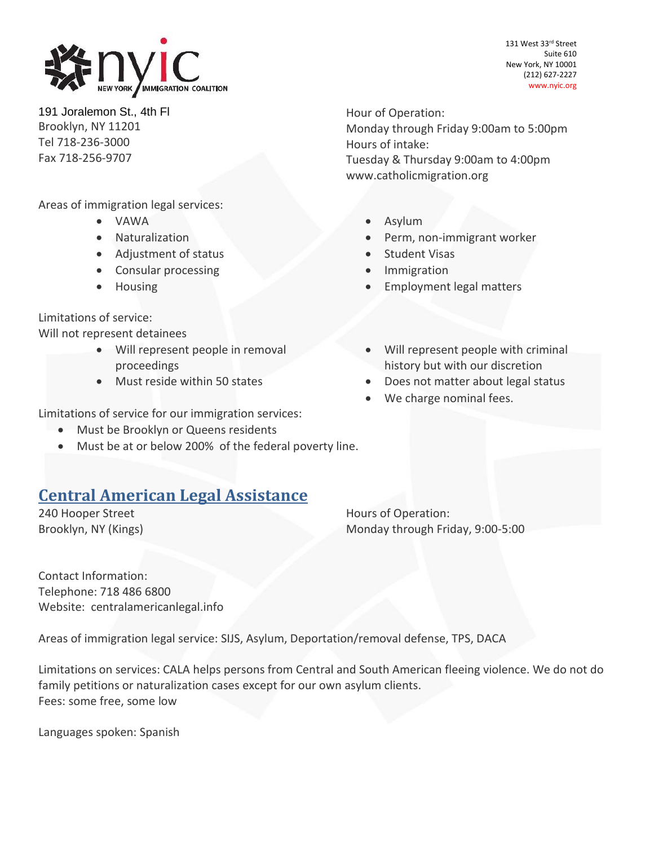

191 Joralemon St., 4th Fl Brooklyn, NY 11201 Tel 718-236-3000 Fax 718-256-9707

Areas of immigration legal services:

- VAWA
- Naturalization
- Adjustment of status
- Consular processing
- Housing

Limitations of service: Will not represent detainees

- Will represent people in removal proceedings
- Must reside within 50 states

Limitations of service for our immigration services:

- Must be Brooklyn or Queens residents
- Must be at or below 200% of the federal poverty line.

# **Central American Legal Assistance**

240 Hooper Street **Hours** Hours of Operation: Brooklyn, NY (Kings) Monday through Friday, 9:00-5:00

Contact Information: Telephone: 718 486 6800 Website: centralamericanlegal.info

Areas of immigration legal service: SIJS, Asylum, Deportation/removal defense, TPS, DACA

Limitations on services: CALA helps persons from Central and South American fleeing violence. We do not do family petitions or naturalization cases except for our own asylum clients. Fees: some free, some low

Languages spoken: Spanish

131 West 33rd Street Suite 610 New York, NY 10001 (212) 627-2227 www.nyic.org

Hour of Operation: Monday through Friday 9:00am to 5:00pm Hours of intake: Tuesday & Thursday 9:00am to 4:00pm [www.catholicmigration.org](http://www.catholicmigration.org/)

- Asylum
- Perm, non-immigrant worker
- Student Visas
- Immigration
- Employment legal matters
- Will represent people with criminal history but with our discretion
- Does not matter about legal status
- We charge nominal fees.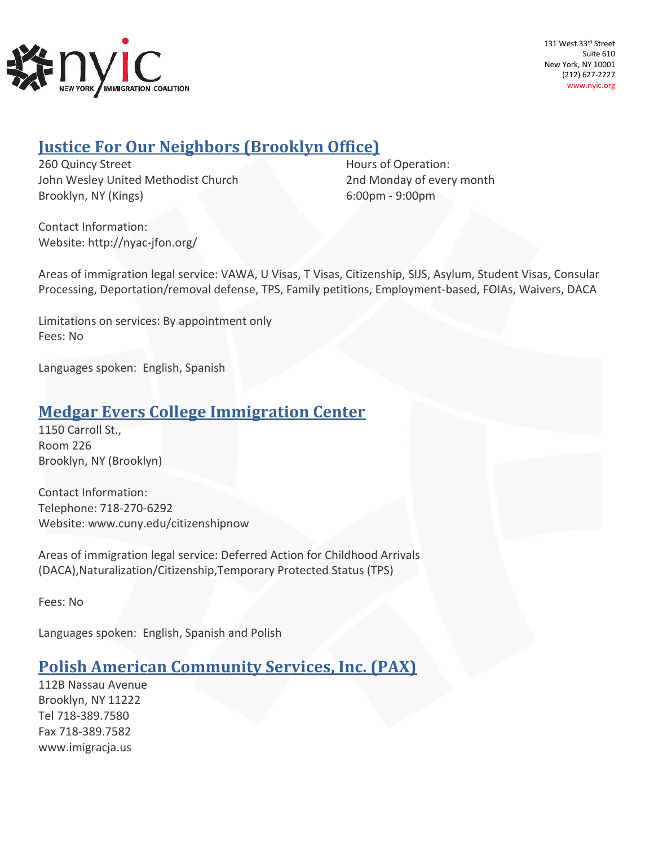

#### **Justice For Our Neighbors (Brooklyn Office)**

260 Quincy Street Hours of Operation: John Wesley United Methodist Church 2nd Monday of every month Brooklyn, NY (Kings) 6:00pm - 9:00pm

Contact Information: Website: http://nyac-jfon.org/

Areas of immigration legal service: VAWA, U Visas, T Visas, Citizenship, SIJS, Asylum, Student Visas, Consular Processing, Deportation/removal defense, TPS, Family petitions, Employment-based, FOIAs, Waivers, DACA

Limitations on services: By appointment only Fees: No

Languages spoken: English, Spanish

# **Medgar Evers College Immigration Center**

1150 Carroll St., Room 226 Brooklyn, NY (Brooklyn)

Contact Information: Telephone: 718-270-6292 Website: www.cuny.edu/citizenshipnow

Areas of immigration legal service: Deferred Action for Childhood Arrivals (DACA),Naturalization/Citizenship,Temporary Protected Status (TPS)

Fees: No

Languages spoken: English, Spanish and Polish

#### **Polish American Community Services, Inc. (PAX)**

112B Nassau Avenue Brooklyn, NY 11222 Tel 718-389.7580 Fax 718-389.7582 [www.imigracja.us](http://www.imigracja.us/)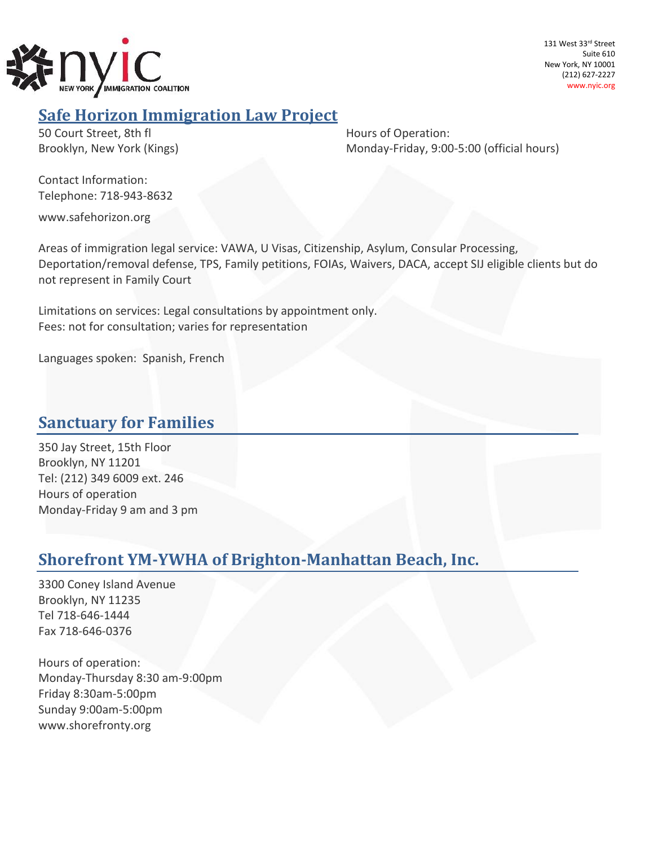

#### **Safe Horizon Immigration Law Project**

50 Court Street, 8th fl Hours of Operation:

Brooklyn, New York (Kings) The Monday-Friday, 9:00-5:00 (official hours)

Contact Information: Telephone: 718-943-8632

www.safehorizon.org

Areas of immigration legal service: VAWA, U Visas, Citizenship, Asylum, Consular Processing, Deportation/removal defense, TPS, Family petitions, FOIAs, Waivers, DACA, accept SIJ eligible clients but do not represent in Family Court

Limitations on services: Legal consultations by appointment only. Fees: not for consultation; varies for representation

Languages spoken: Spanish, French

#### **Sanctuary for Families**

350 Jay Street, 15th Floor Brooklyn, NY 11201 Tel: (212) 349 6009 ext. 246 Hours of operation Monday-Friday 9 am and 3 pm

## **Shorefront YM-YWHA of Brighton-Manhattan Beach, Inc.**

3300 Coney Island Avenue Brooklyn, NY 11235 Tel 718-646-1444 Fax 718-646-0376

Hours of operation: Monday-Thursday 8:30 am-9:00pm Friday 8:30am-5:00pm Sunday 9:00am-5:00pm www.shorefronty.org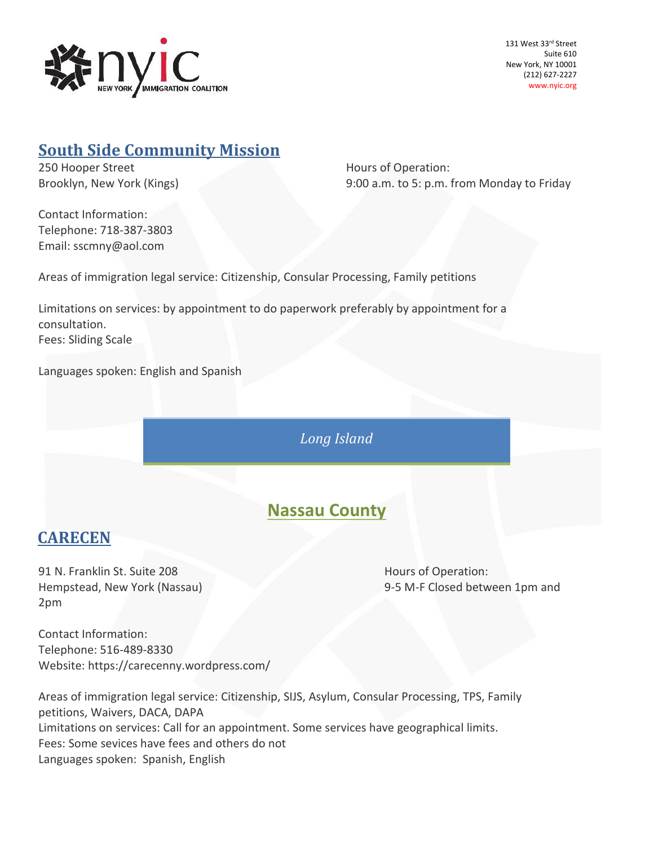

#### **South Side Community Mission**

250 Hooper Street **Hours of Operation:** 

Brooklyn, New York (Kings) 9:00 a.m. to 5: p.m. from Monday to Friday

Contact Information: Telephone: 718-387-3803 Email: sscmny@aol.com

Areas of immigration legal service: Citizenship, Consular Processing, Family petitions

Limitations on services: by appointment to do paperwork preferably by appointment for a consultation. Fees: Sliding Scale

Languages spoken: English and Spanish

*Long Island*

#### **Nassau County**

#### **CARECEN**

91 N. Franklin St. Suite 208 Hours of Operation: 2pm

Hempstead, New York (Nassau) 9-5 M-F Closed between 1pm and

Contact Information: Telephone: 516-489-8330 Website: https://carecenny.wordpress.com/

Areas of immigration legal service: Citizenship, SIJS, Asylum, Consular Processing, TPS, Family petitions, Waivers, DACA, DAPA Limitations on services: Call for an appointment. Some services have geographical limits. Fees: Some sevices have fees and others do not Languages spoken: Spanish, English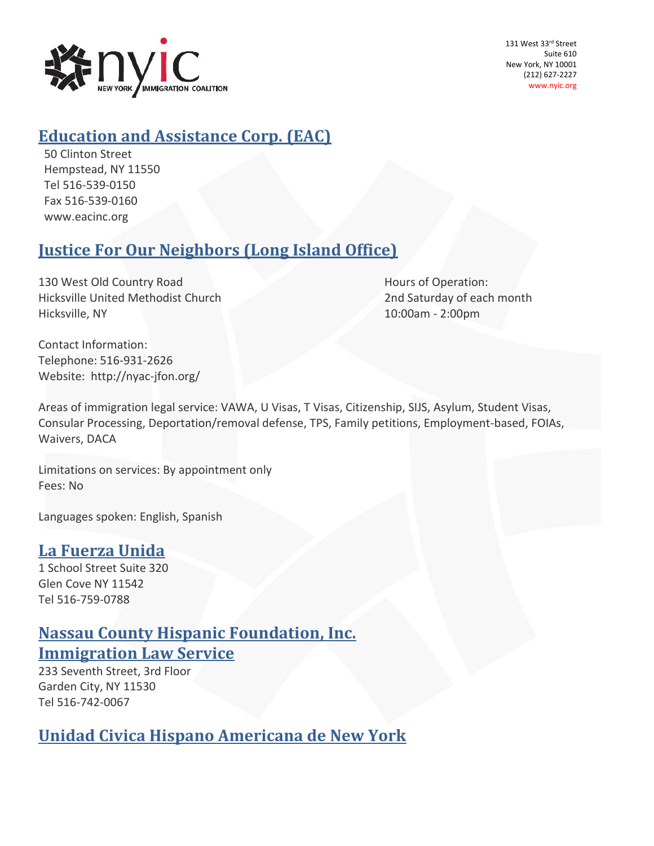

#### **Education and Assistance Corp. (EAC)**

50 Clinton Street Hempstead, NY 11550 Tel 516-539-0150 Fax 516-539-0160 [www.eacinc.org](http://www.eacinc.org/)

## **Justice For Our Neighbors (Long Island Office)**

130 West Old Country Road **Hours of Operation:** Hicksville United Methodist Church 2nd Saturday of each month Hicksville, NY 10:00am - 2:00pm

Contact Information: Telephone: 516-931-2626 Website: http://nyac-jfon.org/

Areas of immigration legal service: VAWA, U Visas, T Visas, Citizenship, SIJS, Asylum, Student Visas, Consular Processing, Deportation/removal defense, TPS, Family petitions, Employment-based, FOIAs, Waivers, DACA

Limitations on services: By appointment only Fees: No

Languages spoken: English, Spanish

#### **La Fuerza Unida**

1 School Street Suite 320 Glen Cove NY 11542 Tel 516-759-0788

#### **Nassau County Hispanic Foundation, Inc. Immigration Law Service**

233 Seventh Street, 3rd Floor Garden City, NY 11530 Tel 516-742-0067

#### **Unidad Civica Hispano Americana de New York**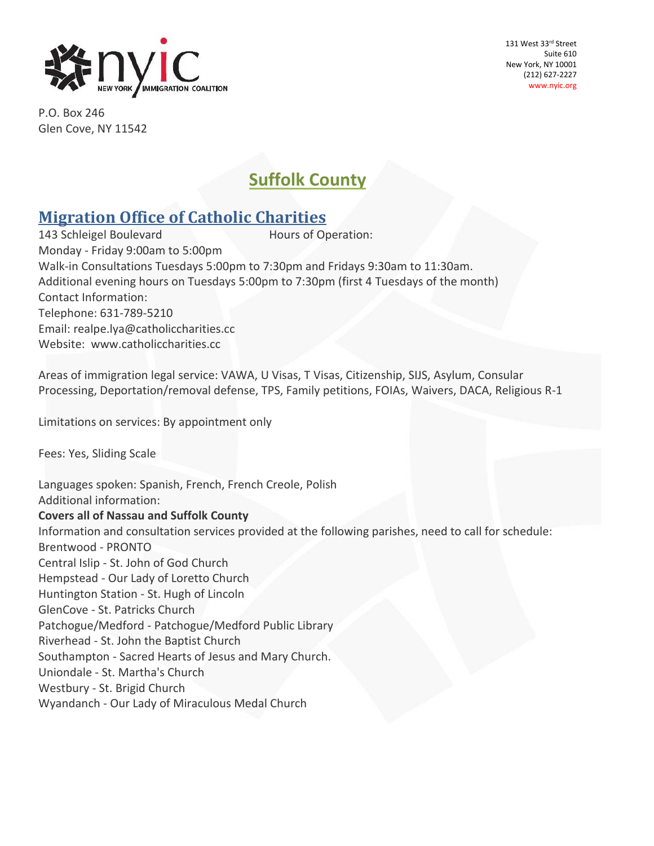

P.O. Box 246 Glen Cove, NY 11542 131 West 33rd Street Suite 610 New York, NY 10001 (212) 627-2227 www.nyic.org

# **Suffolk County**

## **Migration Office of Catholic Charities**

143 Schleigel Boulevard Hours of Operation: Monday - Friday 9:00am to 5:00pm Walk-in Consultations Tuesdays 5:00pm to 7:30pm and Fridays 9:30am to 11:30am. Additional evening hours on Tuesdays 5:00pm to 7:30pm (first 4 Tuesdays of the month) Contact Information: Telephone: 631-789-5210 Email: [realpe.lya@catholiccharities.cc](mailto:realpe.lya@catholiccharities.cc) Website: [www.catholiccharities.cc](http://www.catholiccharities.cc/)

Areas of immigration legal service: VAWA, U Visas, T Visas, Citizenship, SIJS, Asylum, Consular Processing, Deportation/removal defense, TPS, Family petitions, FOIAs, Waivers, DACA, Religious R-1

Limitations on services: By appointment only

Fees: Yes, Sliding Scale

Languages spoken: Spanish, French, French Creole, Polish Additional information:

**Covers all of Nassau and Suffolk County**

Information and consultation services provided at the following parishes, need to call for schedule: Brentwood - PRONTO Central Islip - St. John of God Church Hempstead - Our Lady of Loretto Church Huntington Station - St. Hugh of Lincoln GlenCove - St. Patricks Church Patchogue/Medford - Patchogue/Medford Public Library Riverhead - St. John the Baptist Church Southampton - Sacred Hearts of Jesus and Mary Church. Uniondale - St. Martha's Church Westbury - St. Brigid Church Wyandanch - Our Lady of Miraculous Medal Church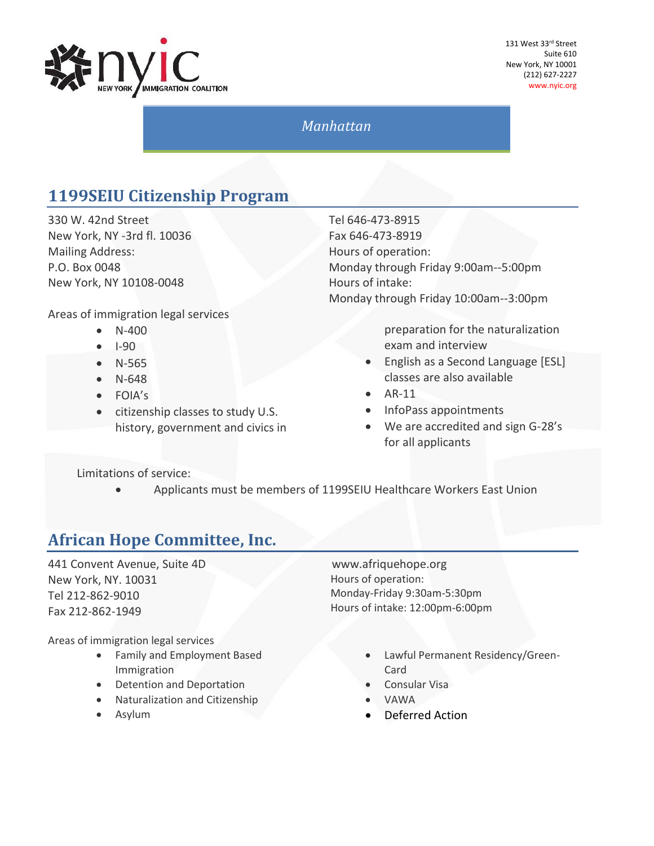

#### *Manhattan*

# **1199SEIU Citizenship Program**

330 W. 42nd Street New York, NY -3rd fl. 10036 Mailing Address: P.O. Box 0048 New York, NY 10108-0048

 Tel 646-473-8915 Fax 646-473-8919 Hours of operation: Monday through Friday 9:00am--5:00pm Hours of intake: Monday through Friday 10:00am--3:00pm

Areas of immigration legal services

- N-400
- I-90
- $\bullet$  N-565
- N-648
- FOIA's
- citizenship classes to study U.S. history, government and civics in

preparation for the naturalization exam and interview

- English as a Second Language [ESL] classes are also available
- $\bullet$  AR-11
- InfoPass appointments
- We are accredited and sign G-28's for all applicants

Limitations of service:

Applicants must be members of 1199SEIU Healthcare Workers East Union

## **African Hope Committee, Inc.**

441 Convent Avenue, Suite 4D New York, NY. 10031 Tel 212-862-9010 Fax 212-862-1949

Areas of immigration legal services

- Family and Employment Based Immigration
- Detention and Deportation
- Naturalization and Citizenship
- Asylum

 [www.afriquehope.org](http://www.afriquehope.org/) Hours of operation: Monday-Friday 9:30am-5:30pm Hours of intake: 12:00pm-6:00pm

- Lawful Permanent Residency/Green-Card
- Consular Visa
- VAWA
- Deferred Action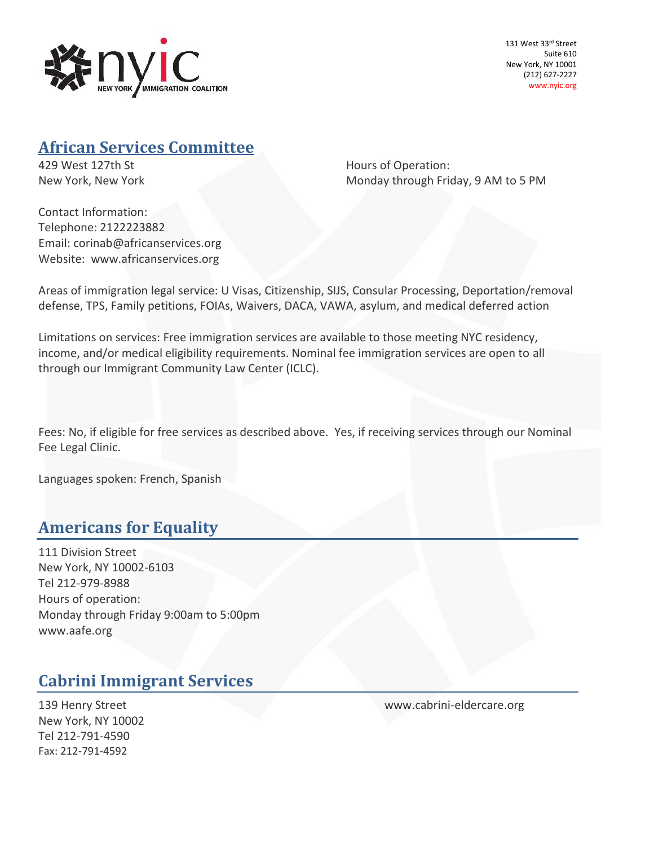

#### **African Services Committee**

429 West 127th St **Hours** of Operation: New York, New York Monday through Friday, 9 AM to 5 PM

Contact Information: Telephone: 2122223882 Email: [corinab@africanservices.org](mailto:corinab@africanservices.org) Website: www.africanservices.org

Areas of immigration legal service: U Visas, Citizenship, SIJS, Consular Processing, Deportation/removal defense, TPS, Family petitions, FOIAs, Waivers, DACA, VAWA, asylum, and medical deferred action

Limitations on services: Free immigration services are available to those meeting NYC residency, income, and/or medical eligibility requirements. Nominal fee immigration services are open to all through our Immigrant Community Law Center (ICLC).

Fees: No, if eligible for free services as described above. Yes, if receiving services through our Nominal Fee Legal Clinic.

Languages spoken: French, Spanish

## **Americans for Equality**

111 Division Street New York, NY 10002-6103 Tel 212-979-8988 Hours of operation: Monday through Friday 9:00am to 5:00pm [www.aafe.org](http://www.aafe.org/)

#### **Cabrini Immigrant Services**

New York, NY 10002 Tel 212-791-4590 Fax: 212-791-4592

139 Henry Street [www.cabrini-eldercare.org](http://www.cabrini-eldercare.org/)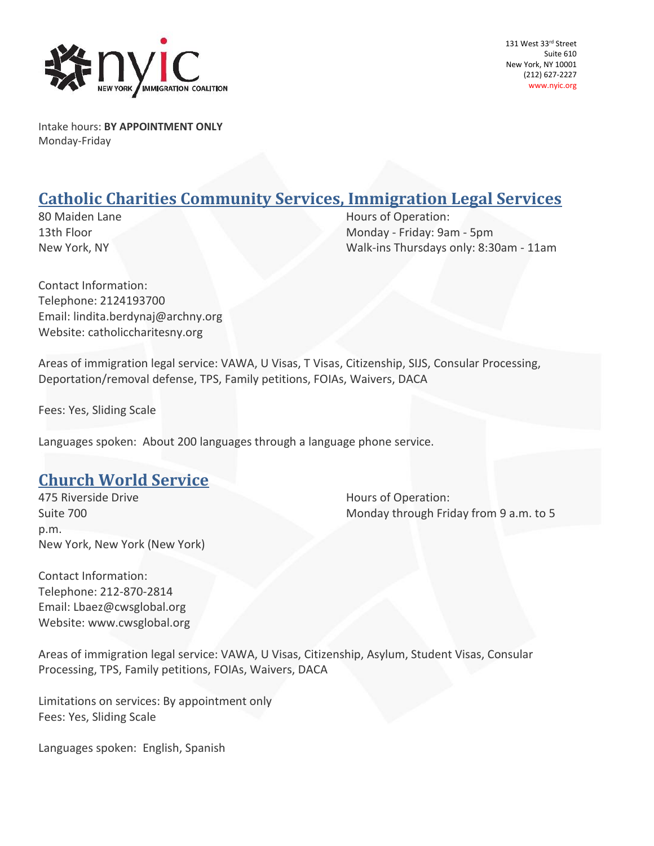

Intake hours: **BY APPOINTMENT ONLY** Monday-Friday

#### **Catholic Charities Community Services, Immigration Legal Services**

80 Maiden Lane **Hours of Operation:** 13th Floor Monday - Friday: 9am - 5pm New York, NY Walk-ins Thursdays only: 8:30am - 11am

Contact Information: Telephone: 2124193700 Email: lindita.berdynaj@archny.org Website: catholiccharitesny.org

Areas of immigration legal service: VAWA, U Visas, T Visas, Citizenship, SIJS, Consular Processing, Deportation/removal defense, TPS, Family petitions, FOIAs, Waivers, DACA

Fees: Yes, Sliding Scale

Languages spoken: About 200 languages through a language phone service.

#### **Church World Service**

According to the Hours of Operation: p.m. New York, New York (New York)

Suite 700 Monday through Friday from 9 a.m. to 5

Contact Information: Telephone: 212-870-2814 Email: Lbaez@cwsglobal.org Website: www.cwsglobal.org

Areas of immigration legal service: VAWA, U Visas, Citizenship, Asylum, Student Visas, Consular Processing, TPS, Family petitions, FOIAs, Waivers, DACA

Limitations on services: By appointment only Fees: Yes, Sliding Scale

Languages spoken: English, Spanish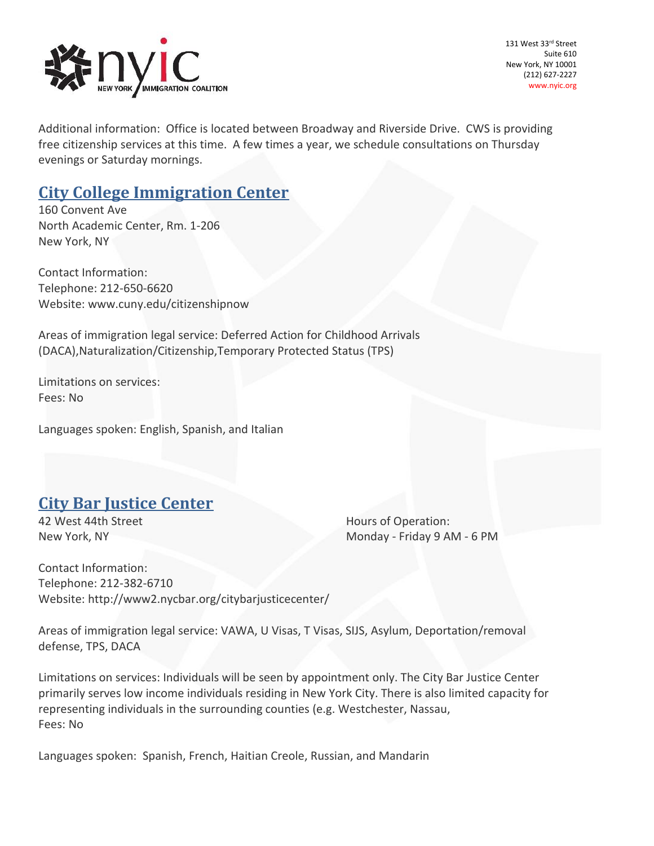

Additional information: Office is located between Broadway and Riverside Drive. CWS is providing free citizenship services at this time. A few times a year, we schedule consultations on Thursday evenings or Saturday mornings.

## **City College Immigration Center**

160 Convent Ave North Academic Center, Rm. 1-206 New York, NY

Contact Information: Telephone: 212-650-6620 Website: www.cuny.edu/citizenshipnow

Areas of immigration legal service: Deferred Action for Childhood Arrivals (DACA),Naturalization/Citizenship,Temporary Protected Status (TPS)

Limitations on services: Fees: No

Languages spoken: English, Spanish, and Italian

## **City Bar Justice Center**

42 West 44th Street **Hours of Operation:** New York, NY Monday - Friday 9 AM - 6 PM

Contact Information: Telephone: 212-382-6710 Website: http://www2.nycbar.org/citybarjusticecenter/

Areas of immigration legal service: VAWA, U Visas, T Visas, SIJS, Asylum, Deportation/removal defense, TPS, DACA

Limitations on services: Individuals will be seen by appointment only. The City Bar Justice Center primarily serves low income individuals residing in New York City. There is also limited capacity for representing individuals in the surrounding counties (e.g. Westchester, Nassau, Fees: No

Languages spoken: Spanish, French, Haitian Creole, Russian, and Mandarin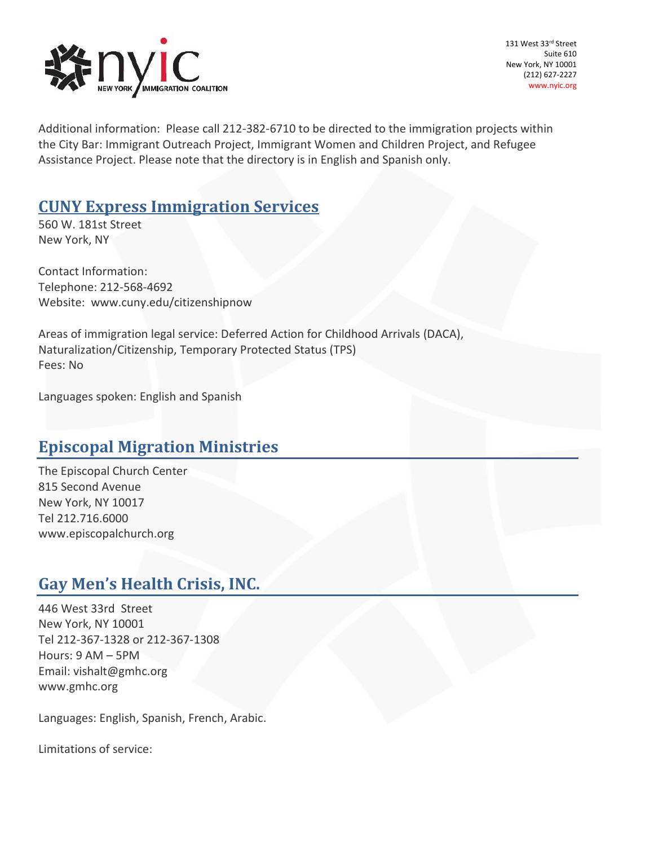

Additional information: Please call 212-382-6710 to be directed to the immigration projects within the City Bar: Immigrant Outreach Project, Immigrant Women and Children Project, and Refugee Assistance Project. Please note that the directory is in English and Spanish only.

#### **CUNY Express Immigration Services**

560 W. 181st Street New York, NY

Contact Information: Telephone: 212-568-4692 Website: www.cuny.edu/citizenshipnow

Areas of immigration legal service: Deferred Action for Childhood Arrivals (DACA), Naturalization/Citizenship, Temporary Protected Status (TPS) Fees: No

Languages spoken: English and Spanish

#### **Episcopal Migration Ministries**

The Episcopal Church Center 815 Second Avenue New York, NY 10017 Tel 212.716.6000 [www.episcopalchurch.org](http://www.episcopalchurch.org/)

#### **Gay Men's Health Crisis, INC.**

446 West 33rd Street New York, NY 10001 Tel 212-367-1328 or 212-367-1308 Hours: 9 AM – 5PM Email: vishalt@gmhc.org [www.gmhc.org](http://www.gmhc.org/)

Languages: English, Spanish, French, Arabic.

Limitations of service: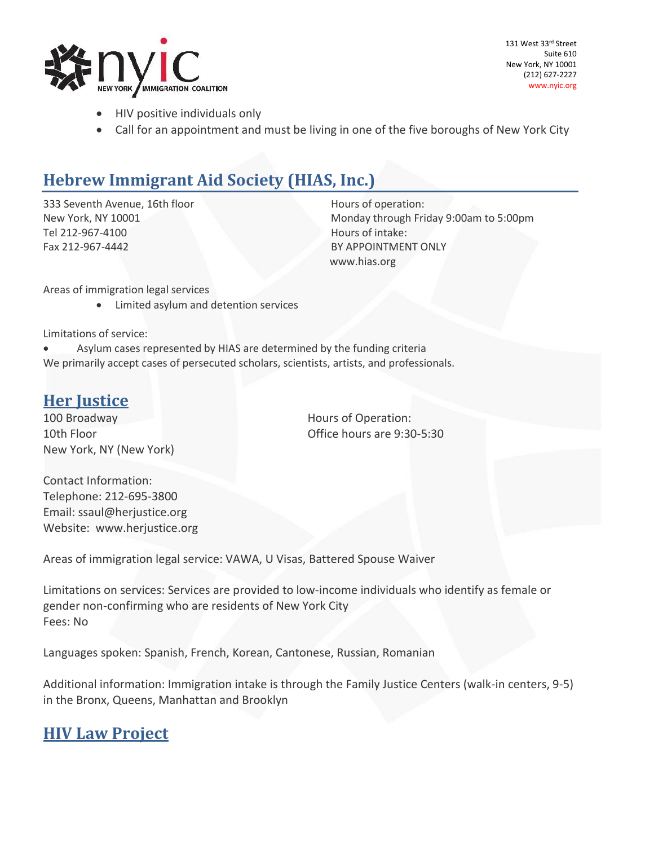

- HIV positive individuals only
- Call for an appointment and must be living in one of the five boroughs of New York City

## **Hebrew Immigrant Aid Society (HIAS, Inc.)**

333 Seventh Avenue, 16th floor New York, NY 10001 Tel 212-967-4100 Fax 212-967-4442

 Hours of operation: Monday through Friday 9:00am to 5:00pm Hours of intake: BY APPOINTMENT ONLY [www.hias.org](http://www.hias.org/)

Areas of immigration legal services

**•** Limited asylum and detention services

Limitations of service:

 Asylum cases represented by HIAS are determined by the funding criteria We primarily accept cases of persecuted scholars, scientists, artists, and professionals.

#### **Her Justice**

100 Broadway **Hours** Hours of Operation: New York, NY (New York)

10th Floor Office hours are 9:30-5:30

Contact Information: Telephone: 212-695-3800 Email: ssaul@herjustice.org Website: www.herjustice.org

Areas of immigration legal service: VAWA, U Visas, Battered Spouse Waiver

Limitations on services: Services are provided to low-income individuals who identify as female or gender non-confirming who are residents of New York City Fees: No

Languages spoken: Spanish, French, Korean, Cantonese, Russian, Romanian

Additional information: Immigration intake is through the Family Justice Centers (walk-in centers, 9-5) in the Bronx, Queens, Manhattan and Brooklyn

#### **HIV Law Project**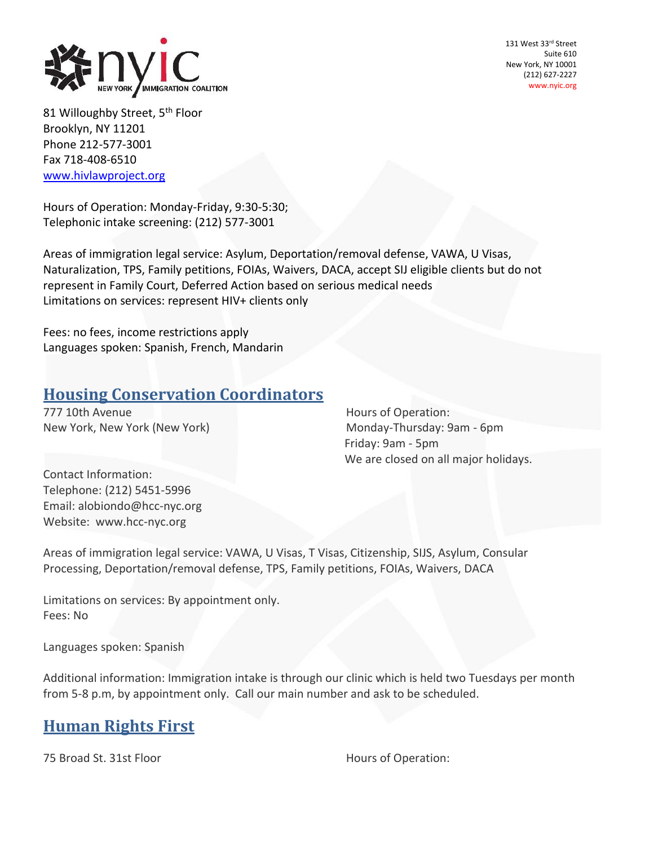

81 Willoughby Street, 5<sup>th</sup> Floor Brooklyn, NY 11201 Phone 212-577-3001 Fax 718-408-6510 [www.hivlawproject.org](http://www.hivlawproject.org/)

Hours of Operation: Monday-Friday, 9:30-5:30; Telephonic intake screening: (212) 577-3001

Areas of immigration legal service: Asylum, Deportation/removal defense, VAWA, U Visas, Naturalization, TPS, Family petitions, FOIAs, Waivers, DACA, accept SIJ eligible clients but do not represent in Family Court, Deferred Action based on serious medical needs Limitations on services: represent HIV+ clients only

Fees: no fees, income restrictions apply Languages spoken: Spanish, French, Mandarin

#### **Housing Conservation Coordinators**

**777 10th Avenue Hours of Operation:** New York, New York (New York) New York Monday-Thursday: 9am - 6pm

 Friday: 9am - 5pm We are closed on all major holidays.

Contact Information: Telephone: (212) 5451-5996 Email: alobiondo@hcc-nyc.org Website: www.hcc-nyc.org

Areas of immigration legal service: VAWA, U Visas, T Visas, Citizenship, SIJS, Asylum, Consular Processing, Deportation/removal defense, TPS, Family petitions, FOIAs, Waivers, DACA

Limitations on services: By appointment only. Fees: No

Languages spoken: Spanish

Additional information: Immigration intake is through our clinic which is held two Tuesdays per month from 5-8 p.m, by appointment only. Call our main number and ask to be scheduled.

## **Human Rights First**

75 Broad St. 31st Floor **Hours** Broad St. 31st Floor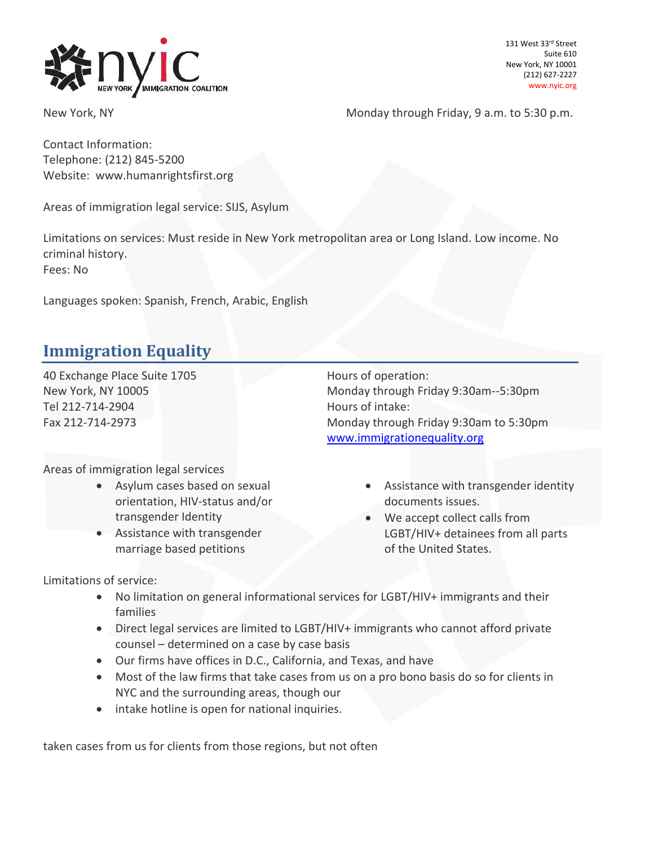

New York, NY Monday through Friday, 9 a.m. to 5:30 p.m.

Contact Information: Telephone: (212) 845-5200 Website: www.humanrightsfirst.org

Areas of immigration legal service: SIJS, Asylum

Limitations on services: Must reside in New York metropolitan area or Long Island. Low income. No criminal history.

Fees: No

Languages spoken: Spanish, French, Arabic, English

# **Immigration Equality**

40 Exchange Place Suite 1705 New York, NY 10005 Tel 212-714-2904 Fax 212-714-2973

 Hours of operation: Monday through Friday 9:30am--5:30pm Hours of intake: Monday through Friday 9:30am to 5:30pm [www.immigrationequality.org](http://www.immigrationequality.org/)

Areas of immigration legal services

- Asylum cases based on sexual orientation, HIV-status and/or transgender Identity
- Assistance with transgender marriage based petitions

 Assistance with transgender identity documents issues.

 We accept collect calls from LGBT/HIV+ detainees from all parts of the United States.

Limitations of service:

- No limitation on general informational services for LGBT/HIV+ immigrants and their families
- Direct legal services are limited to LGBT/HIV+ immigrants who cannot afford private counsel – determined on a case by case basis
- Our firms have offices in D.C., California, and Texas, and have
- Most of the law firms that take cases from us on a pro bono basis do so for clients in NYC and the surrounding areas, though our
- intake hotline is open for national inquiries.

taken cases from us for clients from those regions, but not often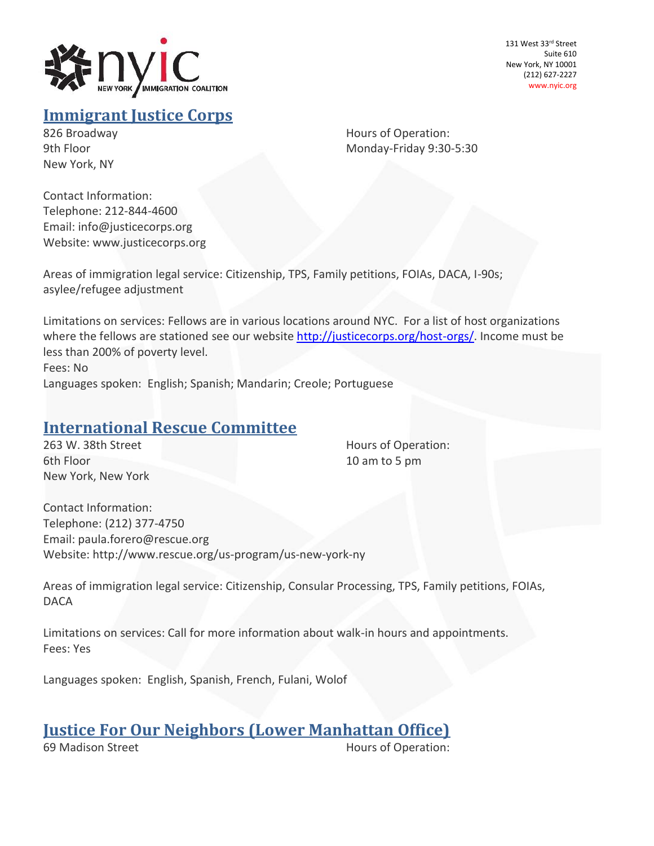

## **Immigrant Justice Corps**

New York, NY

826 Broadway **Broadway Hours of Operation:** 9th Floor Monday-Friday 9:30-5:30

Contact Information: Telephone: 212-844-4600 Email: info@justicecorps.org Website: www.justicecorps.org

Areas of immigration legal service: Citizenship, TPS, Family petitions, FOIAs, DACA, I-90s; asylee/refugee adjustment

Limitations on services: Fellows are in various locations around NYC. For a list of host organizations where the fellows are stationed see our website [http://justicecorps.org/host-orgs/.](http://justicecorps.org/host-orgs/) Income must be less than 200% of poverty level. Fees: No

Languages spoken: English; Spanish; Mandarin; Creole; Portuguese

#### **International Rescue Committee**

6th Floor 10 am to 5 pm New York, New York

263 W. 38th Street Hours of Operation:

Contact Information: Telephone: (212) 377-4750 Email: paula.forero@rescue.org Website: http://www.rescue.org/us-program/us-new-york-ny

Areas of immigration legal service: Citizenship, Consular Processing, TPS, Family petitions, FOIAs, DACA

Limitations on services: Call for more information about walk-in hours and appointments. Fees: Yes

Languages spoken: English, Spanish, French, Fulani, Wolof

# **Justice For Our Neighbors (Lower Manhattan Office)**

Hours of Operation: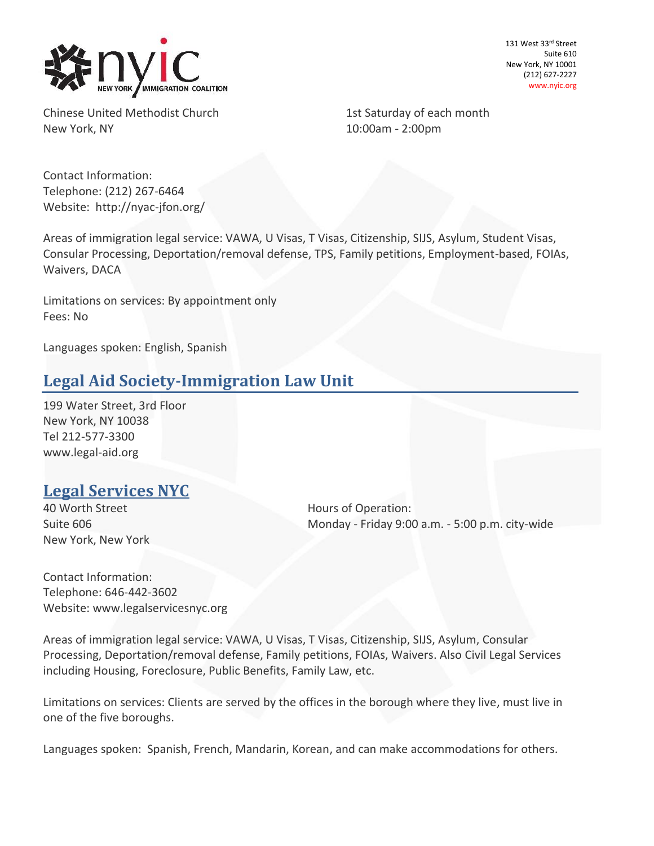

Chinese United Methodist Church 1st Saturday of each month New York, NY 10:00am - 2:00pm

Contact Information: Telephone: (212) 267-6464 Website: http://nyac-jfon.org/

Areas of immigration legal service: VAWA, U Visas, T Visas, Citizenship, SIJS, Asylum, Student Visas, Consular Processing, Deportation/removal defense, TPS, Family petitions, Employment-based, FOIAs, Waivers, DACA

Limitations on services: By appointment only Fees: No

Languages spoken: English, Spanish

## **Legal Aid Society-Immigration Law Unit**

199 Water Street, 3rd Floor New York, NY 10038 Tel 212-577-3300 [www.legal-aid.org](http://www.legal-aid.org/)

## **Legal Services NYC**

40 Worth Street **Hours of Operation**: New York, New York

Suite 606 Monday - Friday 9:00 a.m. - 5:00 p.m. city-wide

Contact Information: Telephone: 646-442-3602 Website: [www.legalservicesnyc.org](http://www.legalservicesnyc.org/)

Areas of immigration legal service: VAWA, U Visas, T Visas, Citizenship, SIJS, Asylum, Consular Processing, Deportation/removal defense, Family petitions, FOIAs, Waivers. Also Civil Legal Services including Housing, Foreclosure, Public Benefits, Family Law, etc.

Limitations on services: Clients are served by the offices in the borough where they live, must live in one of the five boroughs.

Languages spoken: Spanish, French, Mandarin, Korean, and can make accommodations for others.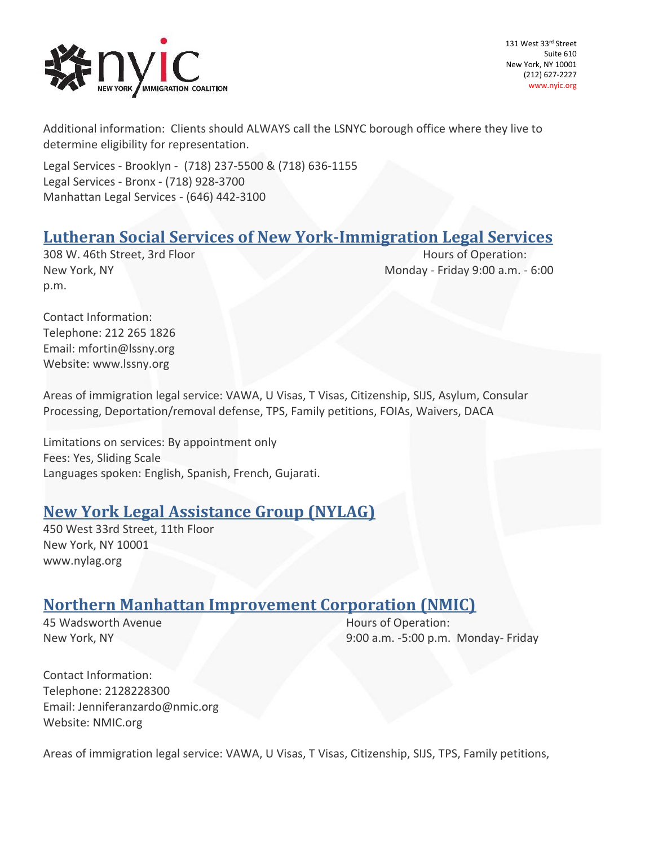

Additional information: Clients should ALWAYS call the LSNYC borough office where they live to determine eligibility for representation.

Legal Services - Brooklyn - (718) 237-5500 & (718) 636-1155 Legal Services - Bronx - (718) 928-3700 Manhattan Legal Services - (646) 442-3100

#### **Lutheran Social Services of New York-Immigration Legal Services**

308 W. 46th Street, 3rd Floor Hours of Operation: p.m.

New York, NY Monday - Friday 9:00 a.m. - 6:00

Contact Information: Telephone: 212 265 1826 Email: [mfortin@lssny.org](mailto:mfortin@lssny.org) Website: [www.lssny.org](http://www.lssny.org/)

Areas of immigration legal service: VAWA, U Visas, T Visas, Citizenship, SIJS, Asylum, Consular Processing, Deportation/removal defense, TPS, Family petitions, FOIAs, Waivers, DACA

Limitations on services: By appointment only Fees: Yes, Sliding Scale Languages spoken: English, Spanish, French, Gujarati.

#### **New York Legal Assistance Group (NYLAG)**

450 West 33rd Street, 11th Floor New York, NY 10001 [www.nylag.org](http://www.nylag.org/)

#### **Northern Manhattan Improvement Corporation (NMIC)**

45 Wadsworth Avenue **Hours of Operation:** 

New York, NY 9:00 a.m. -5:00 p.m. Monday- Friday

Contact Information: Telephone: 2128228300 Email: Jenniferanzardo@nmic.org Website: NMIC.org

Areas of immigration legal service: VAWA, U Visas, T Visas, Citizenship, SIJS, TPS, Family petitions,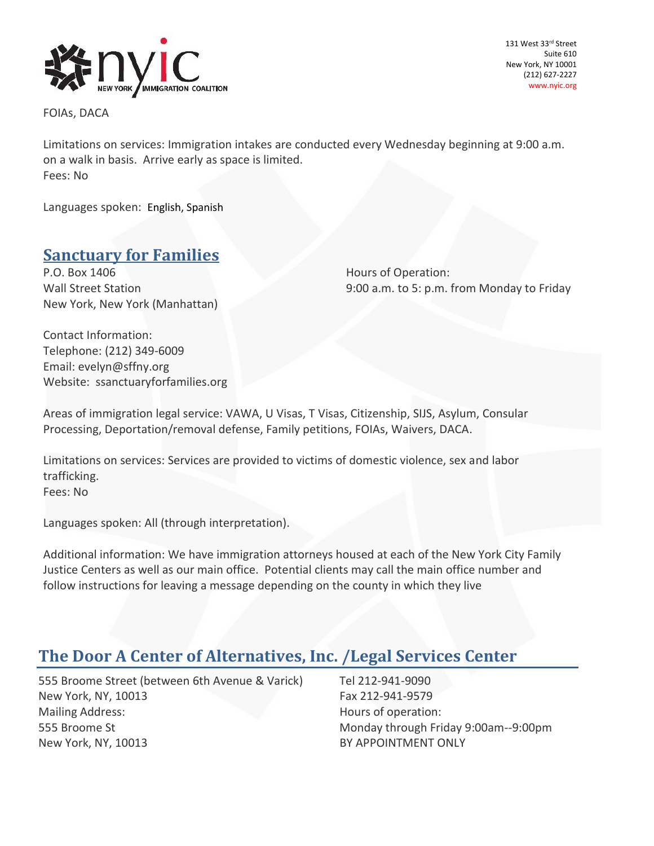

FOIAs, DACA

Limitations on services: Immigration intakes are conducted every Wednesday beginning at 9:00 a.m. on a walk in basis. Arrive early as space is limited. Fees: No

Languages spoken: English, Spanish

#### **Sanctuary for Families**

P.O. Box 1406 **Hours** of Operation: New York, New York (Manhattan)

Wall Street Station 9:00 a.m. to 5: p.m. from Monday to Friday

Contact Information: Telephone: (212) 349-6009 Email: evelyn@sffny.org Website: ssanctuaryforfamilies.org

Areas of immigration legal service: VAWA, U Visas, T Visas, Citizenship, SIJS, Asylum, Consular Processing, Deportation/removal defense, Family petitions, FOIAs, Waivers, DACA.

Limitations on services: Services are provided to victims of domestic violence, sex and labor trafficking. Fees: No

Languages spoken: All (through interpretation).

Additional information: We have immigration attorneys housed at each of the New York City Family Justice Centers as well as our main office. Potential clients may call the main office number and follow instructions for leaving a message depending on the county in which they live

#### **The Door A Center of Alternatives, Inc. /Legal Services Center**

555 Broome Street (between 6th Avenue & Varick) New York, NY, 10013 Mailing Address: 555 Broome St New York, NY, 10013

 Tel 212-941-9090 Fax 212-941-9579 Hours of operation: Monday through Friday 9:00am--9:00pm BY APPOINTMENT ONLY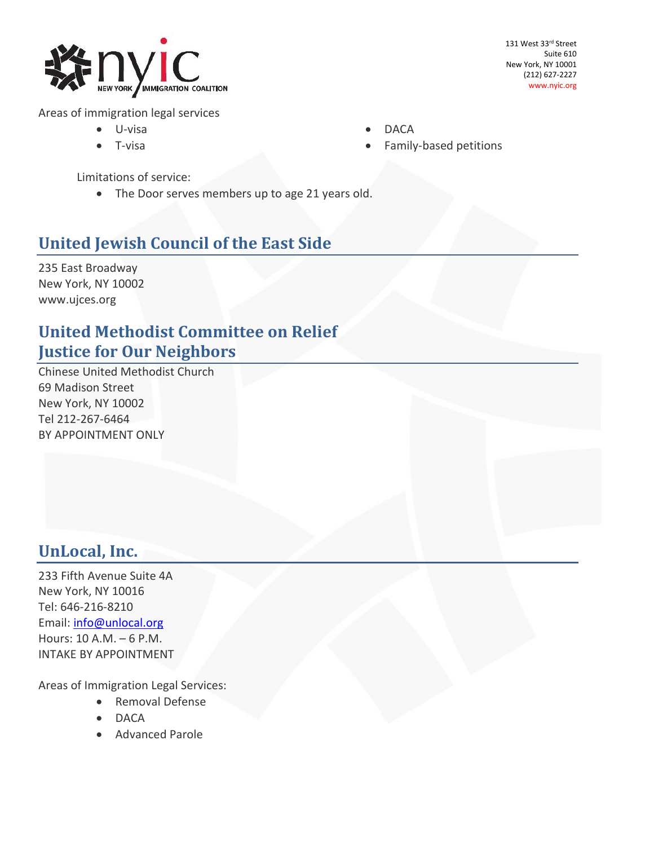

Areas of immigration legal services

- U-visa
- T-visa
- DACA
- Family-based petitions

Limitations of service:

• The Door serves members up to age 21 years old.

## **United Jewish Council of the East Side**

235 East Broadway New York, NY 10002 [www.ujces.org](http://www.ujces.org/)

# **United Methodist Committee on Relief Justice for Our Neighbors**

Chinese United Methodist Church 69 Madison Street New York, NY 10002 Tel 212-267-6464 BY APPOINTMENT ONLY

## **UnLocal, Inc.**

233 Fifth Avenue Suite 4A New York, NY 10016 Tel: 646-216-8210 Email: [info@unlocal.org](mailto:info@unlocal.org) Hours: 10 A.M. – 6 P.M. INTAKE BY APPOINTMENT

Areas of Immigration Legal Services:

- Removal Defense
- DACA
- Advanced Parole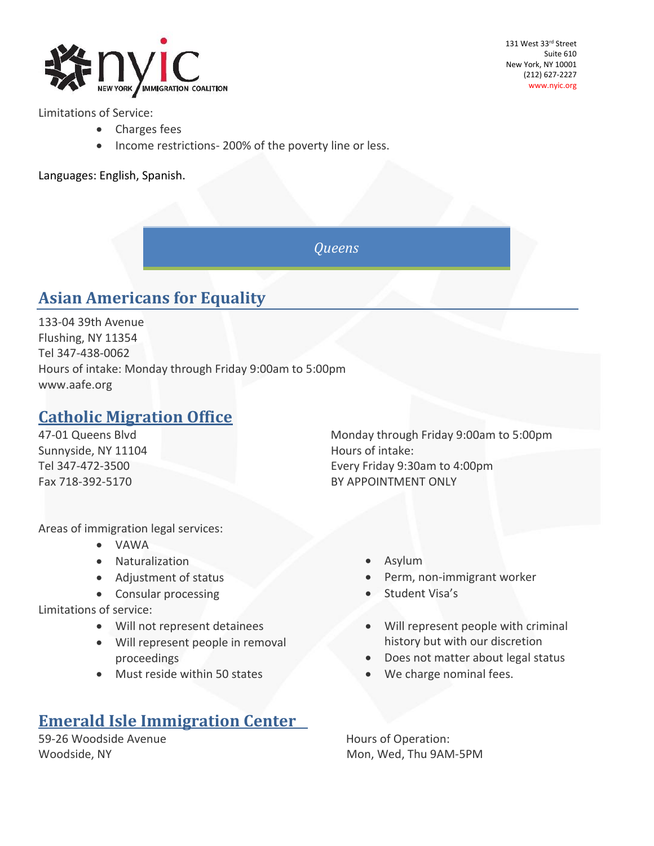

Limitations of Service:

- Charges fees
- Income restrictions- 200% of the poverty line or less.

Languages: English, Spanish.

*Queens*

## **Asian Americans for Equality**

133-04 39th Avenue Flushing, NY 11354 Tel 347-438-0062 Hours of intake: Monday through Friday 9:00am to 5:00pm [www.aafe.org](http://www.aafe.org/)

#### **Catholic Migration Office**

47-01 Queens Blvd Sunnyside, NY 11104 Tel 347-472-3500 Fax 718-392-5170

Areas of immigration legal services:

- VAWA
- Naturalization
- Adjustment of status
- Consular processing

Limitations of service:

- Will not represent detainees
- Will represent people in removal proceedings
- Must reside within 50 states

## **Emerald Isle Immigration Center**

59-26 Woodside Avenue **Hours** Hours of Operation:

 Monday through Friday 9:00am to 5:00pm Hours of intake: Every Friday 9:30am to 4:00pm BY APPOINTMENT ONLY

- Asylum
- Perm, non-immigrant worker
- Student Visa's
- Will represent people with criminal history but with our discretion
- Does not matter about legal status
- We charge nominal fees.

Woodside, NY North Basic Control of the Mon, Wed, Thu 9AM-5PM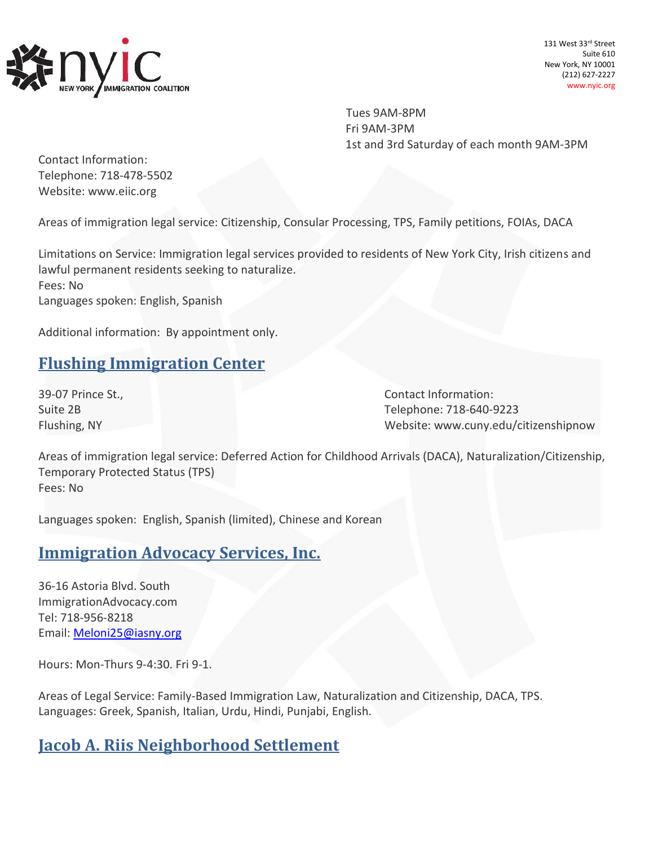

Tues 9AM-8PM Fri 9AM-3PM 1st and 3rd Saturday of each month 9AM-3PM

Contact Information: Telephone: 718-478-5502 Website: www.eiic.org

Areas of immigration legal service: Citizenship, Consular Processing, TPS, Family petitions, FOIAs, DACA

Limitations on Service: Immigration legal services provided to residents of New York City, Irish citizens and lawful permanent residents seeking to naturalize. Fees: No Languages spoken: English, Spanish

Additional information: By appointment only.

#### **Flushing Immigration Center**

39-07 Prince St., Contact Information: Suite 2B Telephone: 718-640-9223 Flushing, NY Website: www.cuny.edu/citizenshipnow

Areas of immigration legal service: Deferred Action for Childhood Arrivals (DACA), Naturalization/Citizenship, Temporary Protected Status (TPS) Fees: No

Languages spoken: English, Spanish (limited), Chinese and Korean

#### **Immigration Advocacy Services, Inc.**

36-16 Astoria Blvd. South ImmigrationAdvocacy.com Tel: 718-956-8218 Email: [Meloni25@iasny.org](mailto:Meloni25@iasny.org)

Hours: Mon-Thurs 9-4:30. Fri 9-1.

Areas of Legal Service: Family-Based Immigration Law, Naturalization and Citizenship, DACA, TPS. Languages: Greek, Spanish, Italian, Urdu, Hindi, Punjabi, English.

#### **Jacob A. Riis Neighborhood Settlement**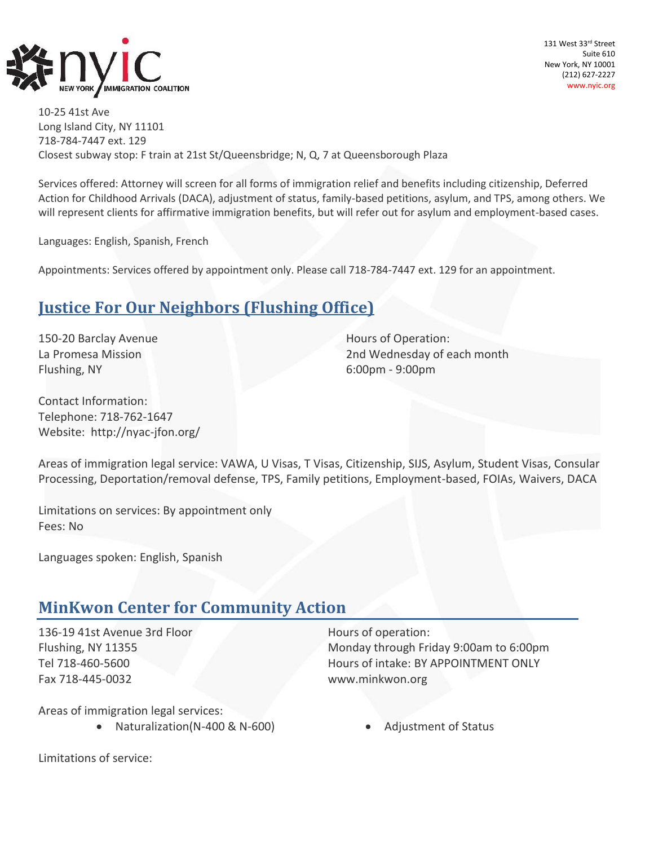

10-25 41st Ave Long Island City, NY 11101 718-784-7447 ext. 129 Closest subway stop: F train at 21st St/Queensbridge; N, Q, 7 at Queensborough Plaza

Services offered: Attorney will screen for all forms of immigration relief and benefits including citizenship, Deferred Action for Childhood Arrivals (DACA), adjustment of status, family-based petitions, asylum, and TPS, among others. We will represent clients for affirmative immigration benefits, but will refer out for asylum and employment-based cases.

Languages: English, Spanish, French

Appointments: Services offered by appointment only. Please call 718-784-7447 ext. 129 for an appointment.

#### **Justice For Our Neighbors (Flushing Office)**

150-20 Barclay Avenue **Hours** Hours of Operation: Flushing, NY 6:00pm - 9:00pm

La Promesa Mission 2nd Wednesday of each month

Contact Information: Telephone: 718-762-1647 Website: http://nyac-jfon.org/

Areas of immigration legal service: VAWA, U Visas, T Visas, Citizenship, SIJS, Asylum, Student Visas, Consular Processing, Deportation/removal defense, TPS, Family petitions, Employment-based, FOIAs, Waivers, DACA

Limitations on services: By appointment only Fees: No

Languages spoken: English, Spanish

#### **MinKwon Center for Community Action**

136-19 41st Avenue 3rd Floor Flushing, NY 11355 Tel 718-460-5600 Fax 718-445-0032

Areas of immigration legal services:

Naturalization(N-400 & N-600) Adjustment of Status

 Hours of operation: Monday through Friday 9:00am to 6:00pm Hours of intake: BY APPOINTMENT ONLY [www.minkwon.org](http://www.minkwon.org/)

Limitations of service: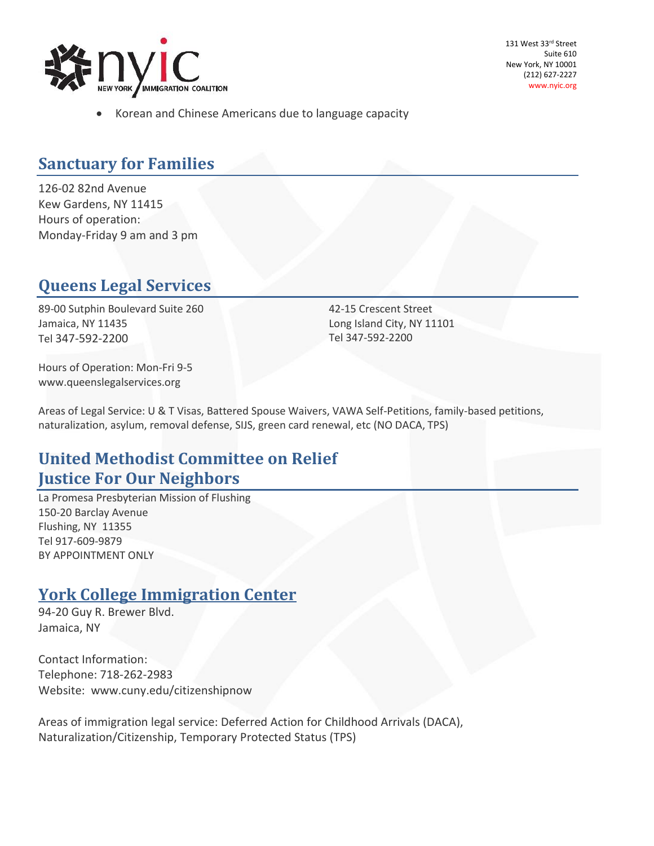

Korean and Chinese Americans due to language capacity

#### **Sanctuary for Families**

126-02 82nd Avenue Kew Gardens, NY 11415 Hours of operation: Monday-Friday 9 am and 3 pm

## **Queens Legal Services**

89-00 Sutphin Boulevard Suite 260 Jamaica, NY 11435 Tel 347-592-2200

 42-15 Crescent Street Long Island City, NY 11101 Tel 347-592-2200

Hours of Operation: Mon-Fri 9-5 [www.queenslegalservices.org](http://www.queenslegalservices.org/)

Areas of Legal Service: U & T Visas, Battered Spouse Waivers, VAWA Self-Petitions, family-based petitions, naturalization, asylum, removal defense, SIJS, green card renewal, etc (NO DACA, TPS)

## **United Methodist Committee on Relief Justice For Our Neighbors**

La Promesa Presbyterian Mission of Flushing 150-20 Barclay Avenue Flushing, NY 11355 Tel 917-609-9879 BY APPOINTMENT ONLY

#### **York College Immigration Center**

94-20 Guy R. Brewer Blvd. Jamaica, NY

Contact Information: Telephone: 718-262-2983 Website: www.cuny.edu/citizenshipnow

Areas of immigration legal service: Deferred Action for Childhood Arrivals (DACA), Naturalization/Citizenship, Temporary Protected Status (TPS)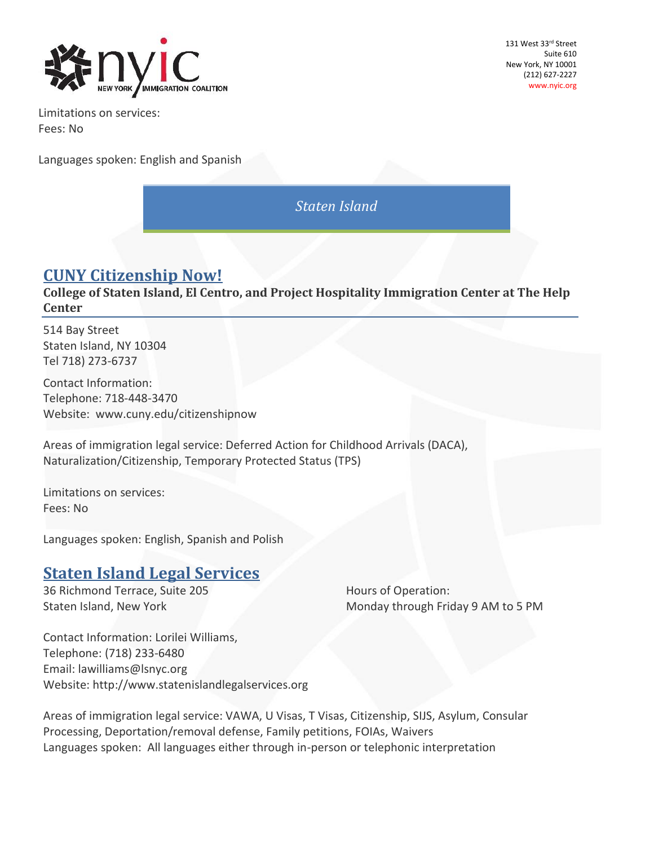

Limitations on services: Fees: No

Languages spoken: English and Spanish

*Staten Island*

#### **CUNY Citizenship Now!**

**College of Staten Island, El Centro, and Project Hospitality Immigration Center at The Help Center**

514 Bay Street Staten Island, NY 10304 Tel 718) 273-6737

Contact Information: Telephone: 718-448-3470 Website: www.cuny.edu/citizenshipnow

Areas of immigration legal service: Deferred Action for Childhood Arrivals (DACA), Naturalization/Citizenship, Temporary Protected Status (TPS)

Limitations on services: Fees: No

Languages spoken: English, Spanish and Polish

#### **Staten Island Legal Services**

36 Richmond Terrace, Suite 205 Hours of Operation:

Staten Island, New York Monday through Friday 9 AM to 5 PM

Contact Information: Lorilei Williams, Telephone: (718) 233-6480 Email: lawilliams@lsnyc.org Website: http://www.statenislandlegalservices.org

Areas of immigration legal service: VAWA, U Visas, T Visas, Citizenship, SIJS, Asylum, Consular Processing, Deportation/removal defense, Family petitions, FOIAs, Waivers Languages spoken: All languages either through in-person or telephonic interpretation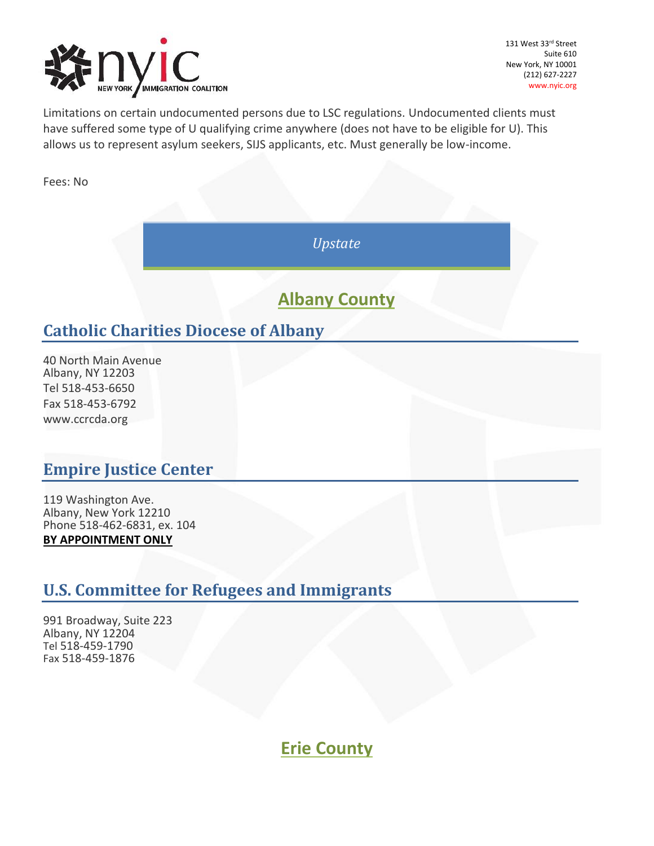

Limitations on certain undocumented persons due to LSC regulations. Undocumented clients must have suffered some type of U qualifying crime anywhere (does not have to be eligible for U). This allows us to represent asylum seekers, SIJS applicants, etc. Must generally be low-income.

Fees: No

*Upstate*

# **Albany County**

## **Catholic Charities Diocese of Albany**

40 North Main Avenue Albany, NY 12203 Tel 518-453-6650 Fax 518-453-6792 [www.ccrcda.org](http://www.ccrcda.org/)

#### **Empire Justice Center**

119 Washington Ave. Albany, New York 12210 Phone 518-462-6831, ex. 104 **BY APPOINTMENT ONLY**

# **U.S. Committee for Refugees and Immigrants**

991 Broadway, Suite 223 Albany, NY 12204 Tel 518-459-1790 Fax 518-459-1876

**Erie County**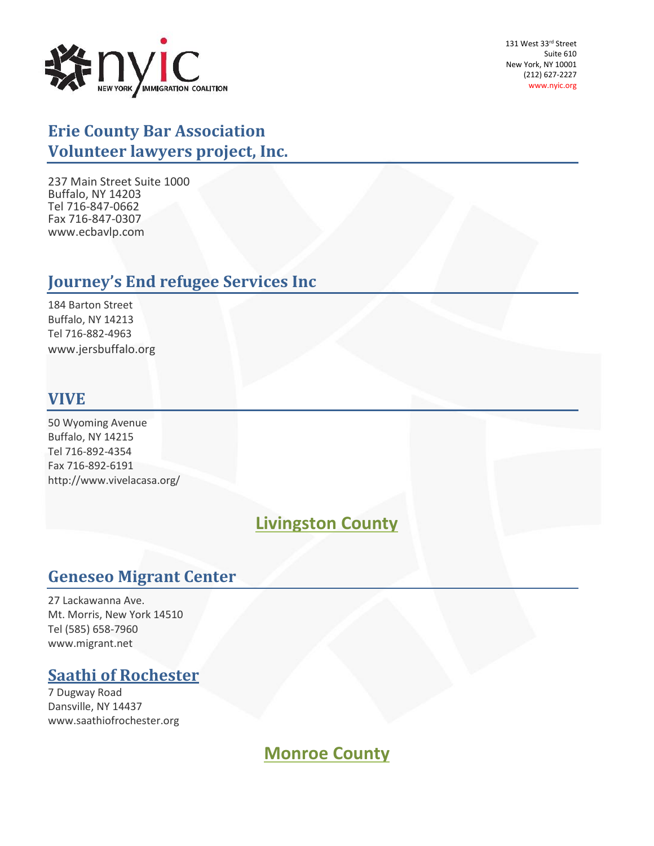

#### **Erie County Bar Association Volunteer lawyers project, Inc.**

237 Main Street Suite 1000 Buffalo, NY 14203 Tel 716-847-0662 Fax 716-847-0307 [www.ecbavlp.com](http://www.ecbavlp.com/)

#### **Journey's End refugee Services Inc**

184 Barton Street Buffalo, NY 14213 Tel 716-882-4963 [www.jersbuffalo.org](http://www.jersbuffalo.org/)

#### **VIVE**

50 Wyoming Avenue Buffalo, NY 14215 Tel 716-892-4354 Fax 716-892-6191 <http://www.vivelacasa.org/>

## **Livingston County**

#### **Geneseo Migrant Center**

27 Lackawanna Ave. Mt. Morris, New York 14510 Tel (585) 658-7960 [www.migrant.net](http://www.migrant.net/)

#### **Saathi of Rochester**

7 Dugway Road Dansville, NY 14437 [www.saathiofrochester.org](http://www.saathiofrochester.org/)

**Monroe County**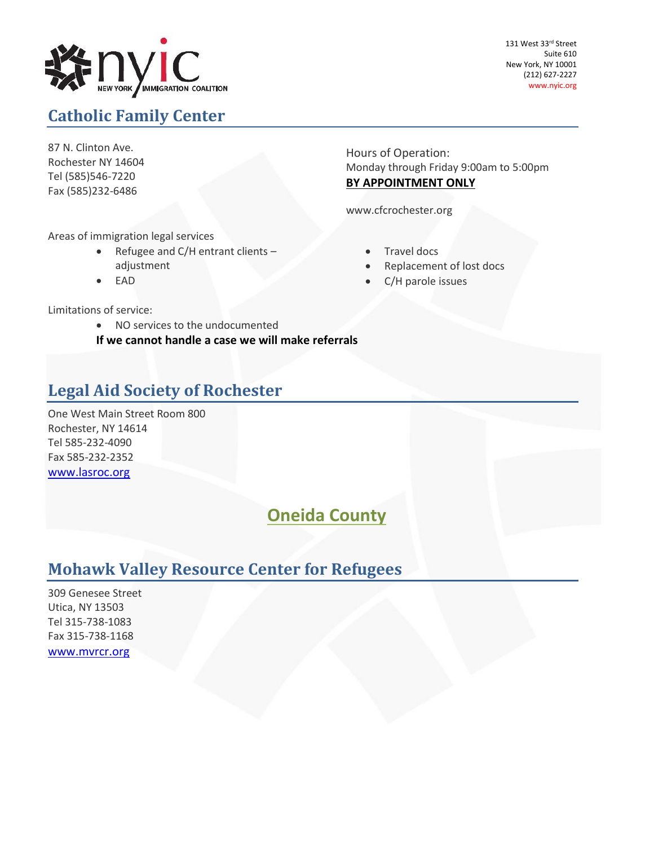

# **Catholic Family Center**

131 West 33rd Street Suite 610 New York, NY 10001 (212) 627-2227 www.nyic.org

87 N. Clinton Ave. Rochester NY 14604 Tel (585)546-7220 Fax (585)232-6486

Hours of Operation: Monday through Friday 9:00am to 5:00pm **BY APPOINTMENT ONLY**

[www.cfcrochester.org](http://www.cfcrochester.org/)

- Travel docs
- Replacement of lost docs
- C/H parole issues

Areas of immigration legal services

- Refugee and C/H entrant clients adjustment
- EAD

Limitations of service:

• NO services to the undocumented

**If we cannot handle a case we will make referrals**

#### **Legal Aid Society of Rochester**

One West Main Street Room 800 Rochester, NY 14614 Tel 585-232-4090 Fax 585-232-2352 [www.lasroc.org](http://www.lasroc.org/)

#### **Oneida County**

#### **Mohawk Valley Resource Center for Refugees**

309 Genesee Street Utica, NY 13503 Tel 315-738-1083 Fax 315-738-1168 [www.mvrcr.org](http://www.mvrcr.org/)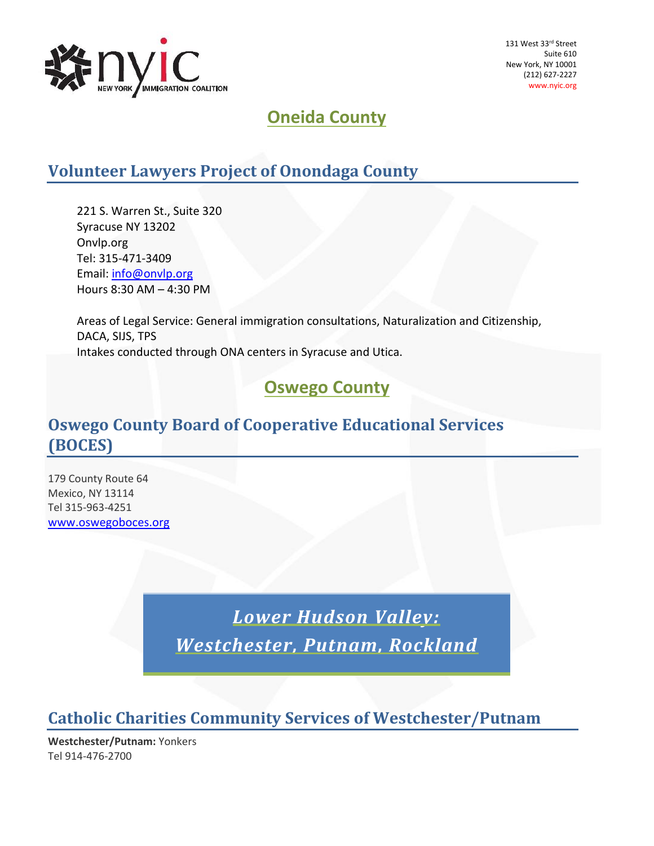

# **Oneida County**

# **Volunteer Lawyers Project of Onondaga County**

221 S. Warren St., Suite 320 Syracuse NY 13202 Onvlp.org Tel: 315-471-3409 Email: [info@onvlp.org](mailto:info@onvlp.org) Hours 8:30 AM – 4:30 PM

Areas of Legal Service: General immigration consultations, Naturalization and Citizenship, DACA, SIJS, TPS Intakes conducted through ONA centers in Syracuse and Utica.

# **Oswego County**

## **Oswego County Board of Cooperative Educational Services (BOCES)**

179 County Route 64 Mexico, NY 13114 Tel 315-963-4251 [www.oswegoboces.org](http://www.oswegoboces.org/)

> *Lower Hudson Valley: Westchester, Putnam, Rockland*

# **Catholic Charities Community Services of Westchester/Putnam**

**Westchester/Putnam:** Yonkers Tel 914-476-2700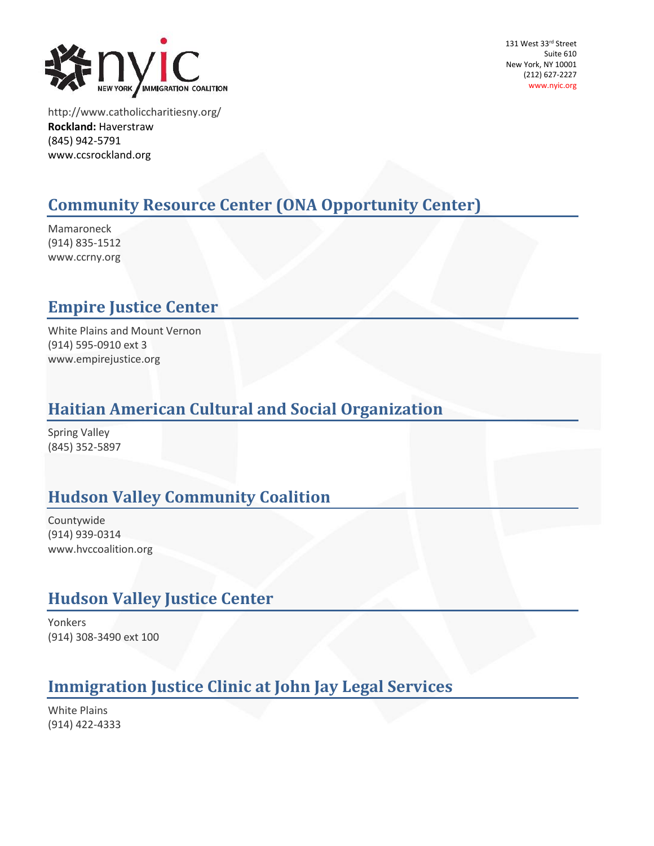

http://www.catholiccharitiesny.org/ **Rockland:** Haverstraw (845) 942-5791 www.ccsrockland.org

# **Community Resource Center (ONA Opportunity Center)**

Mamaroneck (914) 835-1512 www.ccrny.org

# **Empire Justice Center**

White Plains and Mount Vernon (914) 595-0910 ext 3 www.empirejustice.org

# **Haitian American Cultural and Social Organization**

Spring Valley (845) 352-5897

## **Hudson Valley Community Coalition**

Countywide (914) 939-0314 www.hvccoalition.org

#### **Hudson Valley Justice Center**

Yonkers (914) 308-3490 ext 100

# **Immigration Justice Clinic at John Jay Legal Services**

White Plains (914) 422-4333